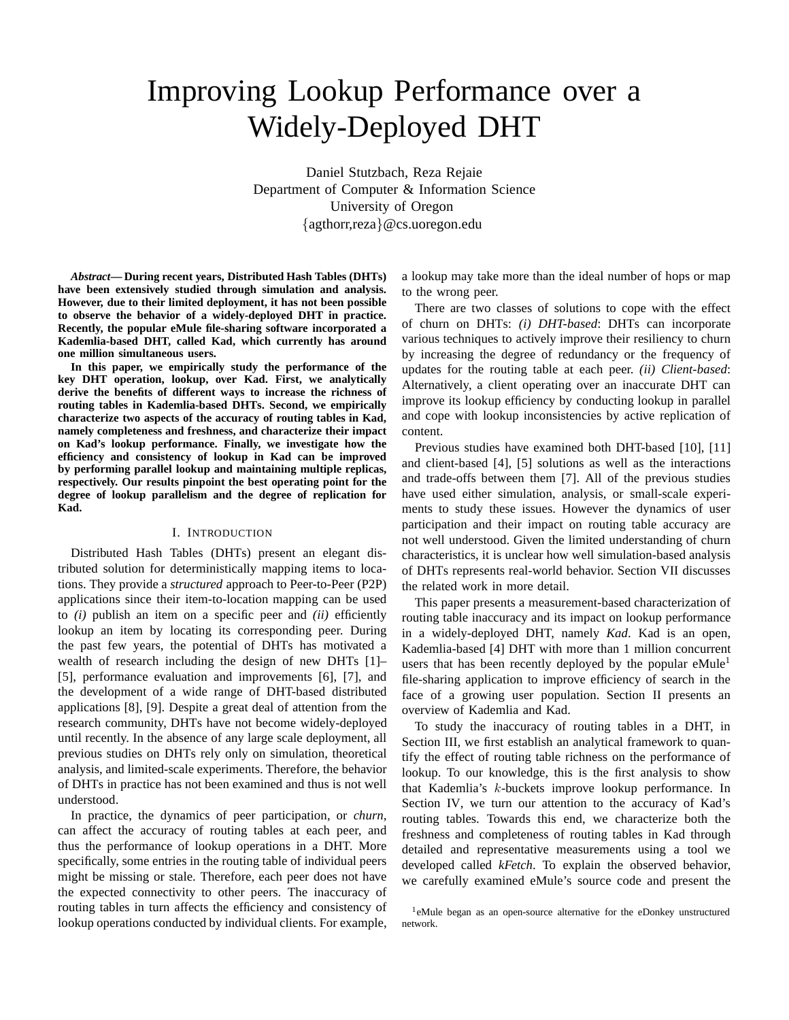# Improving Lookup Performance over a Widely-Deployed DHT

[Daniel Stutzbach](http://stutzbachenterprises.com), Reza Rejaie Department of Computer & Information Science University of Oregon {agthorr,reza}@cs.uoregon.edu

*Abstract***— During recent years, Distributed Hash Tables (DHTs) have been extensively studied through simulation and analysis. However, due to their limited deployment, it has not been possible to observe the behavior of a widely-deployed DHT in practice. Recently, the popular eMule file-sharing software incorporated a Kademlia-based DHT, called Kad, which currently has around one million simultaneous users.**

**In this paper, we empirically study the performance of the key DHT operation, lookup, over Kad. First, we analytically derive the benefits of different ways to increase the richness of routing tables in Kademlia-based DHTs. Second, we empirically characterize two aspects of the accuracy of routing tables in Kad, namely completeness and freshness, and characterize their impact on Kad's lookup performance. Finally, we investigate how the efficiency and consistency of lookup in Kad can be improved by performing parallel lookup and maintaining multiple replicas, respectively. Our results pinpoint the best operating point for the degree of lookup parallelism and the degree of replication for Kad.**

#### I. INTRODUCTION

Distributed Hash Tables (DHTs) present an elegant distributed solution for deterministically mapping items to locations. They provide a *structured* approach to Peer-to-Peer (P2P) applications since their item-to-location mapping can be used to *(i)* publish an item on a specific peer and *(ii)* efficiently lookup an item by locating its corresponding peer. During the past few years, the potential of DHTs has motivated a wealth of research including the design of new DHTs [1]– [5], performance evaluation and improvements [6], [7], and the development of a wide range of DHT-based distributed applications [8], [9]. Despite a great deal of attention from the research community, DHTs have not become widely-deployed until recently. In the absence of any large scale deployment, all previous studies on DHTs rely only on simulation, theoretical analysis, and limited-scale experiments. Therefore, the behavior of DHTs in practice has not been examined and thus is not well understood.

In practice, the dynamics of peer participation, or *churn*, can affect the accuracy of routing tables at each peer, and thus the performance of lookup operations in a DHT. More specifically, some entries in the routing table of individual peers might be missing or stale. Therefore, each peer does not have the expected connectivity to other peers. The inaccuracy of routing tables in turn affects the efficiency and consistency of lookup operations conducted by individual clients. For example, a lookup may take more than the ideal number of hops or map to the wrong peer.

There are two classes of solutions to cope with the effect of churn on DHTs: *(i) DHT-based*: DHTs can incorporate various techniques to actively improve their resiliency to churn by increasing the degree of redundancy or the frequency of updates for the routing table at each peer. *(ii) Client-based*: Alternatively, a client operating over an inaccurate DHT can improve its lookup efficiency by conducting lookup in parallel and cope with lookup inconsistencies by active replication of content.

Previous studies have examined both DHT-based [10], [11] and client-based [4], [5] solutions as well as the interactions and trade-offs between them [7]. All of the previous studies have used either simulation, analysis, or small-scale experiments to study these issues. However the dynamics of user participation and their impact on routing table accuracy are not well understood. Given the limited understanding of churn characteristics, it is unclear how well simulation-based analysis of DHTs represents real-world behavior. Section VII discusses the related work in more detail.

This paper presents a measurement-based characterization of routing table inaccuracy and its impact on lookup performance in a widely-deployed DHT, namely *Kad*. Kad is an open, Kademlia-based [4] DHT with more than 1 million concurrent users that has been recently deployed by the popular eMule<sup>1</sup> file-sharing application to improve efficiency of search in the face of a growing user population. Section II presents an overview of Kademlia and Kad.

To study the inaccuracy of routing tables in a DHT, in Section III, we first establish an analytical framework to quantify the effect of routing table richness on the performance of lookup. To our knowledge, this is the first analysis to show that Kademlia's k-buckets improve lookup performance. In Section IV, we turn our attention to the accuracy of Kad's routing tables. Towards this end, we characterize both the freshness and completeness of routing tables in Kad through detailed and representative measurements using a tool we developed called *kFetch*. To explain the observed behavior, we carefully examined eMule's source code and present the

<sup>&</sup>lt;sup>1</sup>eMule began as an open-source alternative for the eDonkey unstructured network.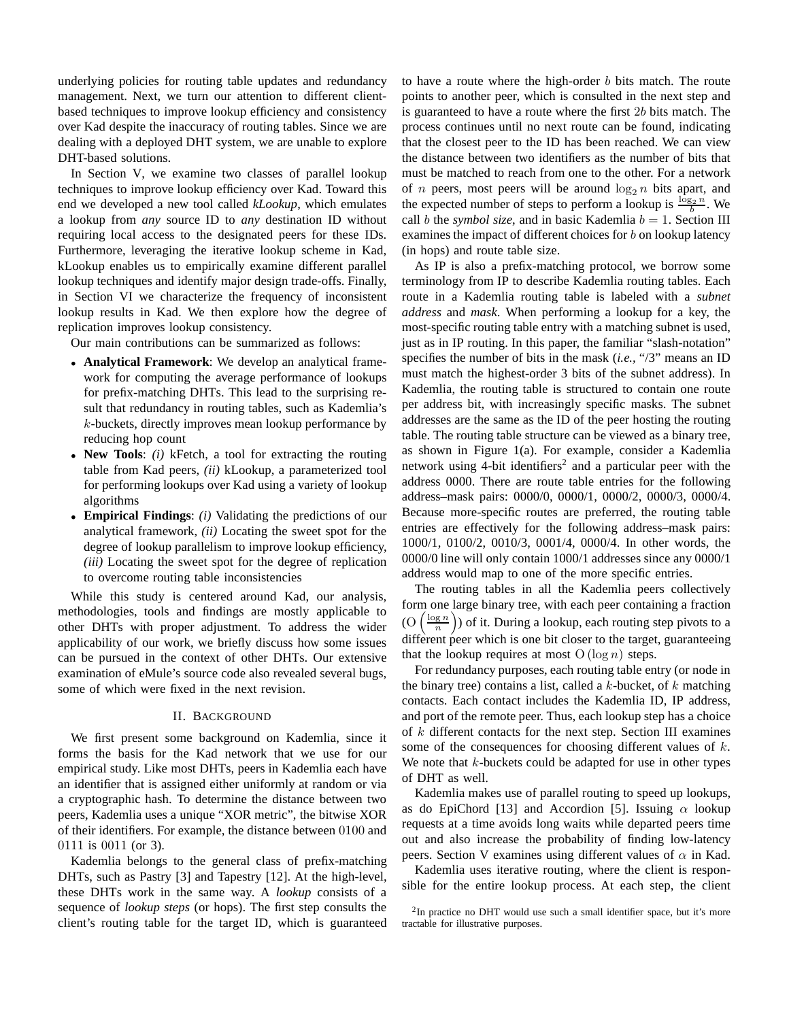underlying policies for routing table updates and redundancy management. Next, we turn our attention to different clientbased techniques to improve lookup efficiency and consistency over Kad despite the inaccuracy of routing tables. Since we are dealing with a deployed DHT system, we are unable to explore DHT-based solutions.

In Section V, we examine two classes of parallel lookup techniques to improve lookup efficiency over Kad. Toward this end we developed a new tool called *kLookup*, which emulates a lookup from *any* source ID to *any* destination ID without requiring local access to the designated peers for these IDs. Furthermore, leveraging the iterative lookup scheme in Kad, kLookup enables us to empirically examine different parallel lookup techniques and identify major design trade-offs. Finally, in Section VI we characterize the frequency of inconsistent lookup results in Kad. We then explore how the degree of replication improves lookup consistency.

Our main contributions can be summarized as follows:

- **Analytical Framework**: We develop an analytical framework for computing the average performance of lookups for prefix-matching DHTs. This lead to the surprising result that redundancy in routing tables, such as Kademlia's k-buckets, directly improves mean lookup performance by reducing hop count
- **New Tools**: *(i)* kFetch, a tool for extracting the routing table from Kad peers, *(ii)* kLookup, a parameterized tool for performing lookups over Kad using a variety of lookup algorithms
- **Empirical Findings**: *(i)* Validating the predictions of our analytical framework, *(ii)* Locating the sweet spot for the degree of lookup parallelism to improve lookup efficiency, *(iii)* Locating the sweet spot for the degree of replication to overcome routing table inconsistencies

While this study is centered around Kad, our analysis, methodologies, tools and findings are mostly applicable to other DHTs with proper adjustment. To address the wider applicability of our work, we briefly discuss how some issues can be pursued in the context of other DHTs. Our extensive examination of eMule's source code also revealed several bugs, some of which were fixed in the next revision.

#### II. BACKGROUND

We first present some background on Kademlia, since it forms the basis for the Kad network that we use for our empirical study. Like most DHTs, peers in Kademlia each have an identifier that is assigned either uniformly at random or via a cryptographic hash. To determine the distance between two peers, Kademlia uses a unique "XOR metric", the bitwise XOR of their identifiers. For example, the distance between 0100 and 0111 is 0011 (or 3).

Kademlia belongs to the general class of prefix-matching DHTs, such as Pastry [3] and Tapestry [12]. At the high-level, these DHTs work in the same way. A *lookup* consists of a sequence of *lookup steps* (or hops). The first step consults the client's routing table for the target ID, which is guaranteed to have a route where the high-order b bits match. The route points to another peer, which is consulted in the next step and is guaranteed to have a route where the first 2b bits match. The process continues until no next route can be found, indicating that the closest peer to the ID has been reached. We can view the distance between two identifiers as the number of bits that must be matched to reach from one to the other. For a network of *n* peers, most peers will be around  $\log_2 n$  bits apart, and the expected number of steps to perform a lookup is  $\frac{\log_2 n}{b}$ . We call b the *symbol size*, and in basic Kademlia  $b = 1$ . Section III examines the impact of different choices for  $b$  on lookup latency (in hops) and route table size.

As IP is also a prefix-matching protocol, we borrow some terminology from IP to describe Kademlia routing tables. Each route in a Kademlia routing table is labeled with a *subnet address* and *mask*. When performing a lookup for a key, the most-specific routing table entry with a matching subnet is used, just as in IP routing. In this paper, the familiar "slash-notation" specifies the number of bits in the mask (*i.e.,* "/3" means an ID must match the highest-order 3 bits of the subnet address). In Kademlia, the routing table is structured to contain one route per address bit, with increasingly specific masks. The subnet addresses are the same as the ID of the peer hosting the routing table. The routing table structure can be viewed as a binary tree, as shown in Figure 1(a). For example, consider a Kademlia network using 4-bit identifiers<sup>2</sup> and a particular peer with the address 0000. There are route table entries for the following address–mask pairs: 0000/0, 0000/1, 0000/2, 0000/3, 0000/4. Because more-specific routes are preferred, the routing table entries are effectively for the following address–mask pairs: 1000/1, 0100/2, 0010/3, 0001/4, 0000/4. In other words, the 0000/0 line will only contain 1000/1 addresses since any 0000/1 address would map to one of the more specific entries.

The routing tables in all the Kademlia peers collectively form one large binary tree, with each peer containing a fraction  $(O\left(\frac{\log n}{n}\right))$  of it. During a lookup, each routing step pivots to a different peer which is one bit closer to the target, guaranteeing that the lookup requires at most  $O(\log n)$  steps.

For redundancy purposes, each routing table entry (or node in the binary tree) contains a list, called a  $k$ -bucket, of  $k$  matching contacts. Each contact includes the Kademlia ID, IP address, and port of the remote peer. Thus, each lookup step has a choice of  $k$  different contacts for the next step. Section III examines some of the consequences for choosing different values of k. We note that  $k$ -buckets could be adapted for use in other types of DHT as well.

Kademlia makes use of parallel routing to speed up lookups, as do EpiChord [13] and Accordion [5]. Issuing  $\alpha$  lookup requests at a time avoids long waits while departed peers time out and also increase the probability of finding low-latency peers. Section V examines using different values of  $\alpha$  in Kad.

Kademlia uses iterative routing, where the client is responsible for the entire lookup process. At each step, the client

<sup>&</sup>lt;sup>2</sup>In practice no DHT would use such a small identifier space, but it's more tractable for illustrative purposes.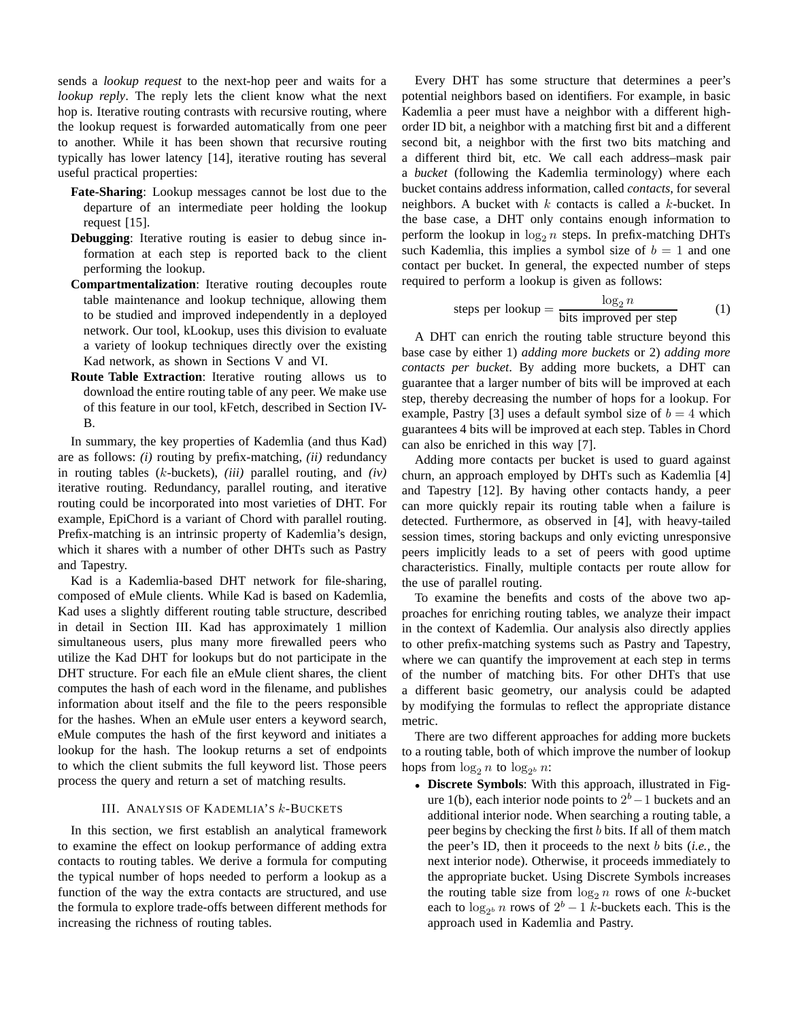sends a *lookup request* to the next-hop peer and waits for a *lookup reply*. The reply lets the client know what the next hop is. Iterative routing contrasts with recursive routing, where the lookup request is forwarded automatically from one peer to another. While it has been shown that recursive routing typically has lower latency [14], iterative routing has several useful practical properties:

- **Fate-Sharing**: Lookup messages cannot be lost due to the departure of an intermediate peer holding the lookup request [15].
- **Debugging**: Iterative routing is easier to debug since information at each step is reported back to the client performing the lookup.
- **Compartmentalization**: Iterative routing decouples route table maintenance and lookup technique, allowing them to be studied and improved independently in a deployed network. Our tool, kLookup, uses this division to evaluate a variety of lookup techniques directly over the existing Kad network, as shown in Sections V and VI.
- **Route Table Extraction**: Iterative routing allows us to download the entire routing table of any peer. We make use of this feature in our tool, kFetch, described in Section IV-B.

In summary, the key properties of Kademlia (and thus Kad) are as follows: *(i)* routing by prefix-matching, *(ii)* redundancy in routing tables (k-buckets), *(iii)* parallel routing, and *(iv)* iterative routing. Redundancy, parallel routing, and iterative routing could be incorporated into most varieties of DHT. For example, EpiChord is a variant of Chord with parallel routing. Prefix-matching is an intrinsic property of Kademlia's design, which it shares with a number of other DHTs such as Pastry and Tapestry.

Kad is a Kademlia-based DHT network for file-sharing, composed of eMule clients. While Kad is based on Kademlia, Kad uses a slightly different routing table structure, described in detail in Section III. Kad has approximately 1 million simultaneous users, plus many more firewalled peers who utilize the Kad DHT for lookups but do not participate in the DHT structure. For each file an eMule client shares, the client computes the hash of each word in the filename, and publishes information about itself and the file to the peers responsible for the hashes. When an eMule user enters a keyword search, eMule computes the hash of the first keyword and initiates a lookup for the hash. The lookup returns a set of endpoints to which the client submits the full keyword list. Those peers process the query and return a set of matching results.

# III. ANALYSIS OF KADEMLIA'S k-BUCKETS

In this section, we first establish an analytical framework to examine the effect on lookup performance of adding extra contacts to routing tables. We derive a formula for computing the typical number of hops needed to perform a lookup as a function of the way the extra contacts are structured, and use the formula to explore trade-offs between different methods for increasing the richness of routing tables.

Every DHT has some structure that determines a peer's potential neighbors based on identifiers. For example, in basic Kademlia a peer must have a neighbor with a different highorder ID bit, a neighbor with a matching first bit and a different second bit, a neighbor with the first two bits matching and a different third bit, etc. We call each address–mask pair a *bucket* (following the Kademlia terminology) where each bucket contains address information, called *contacts*, for several neighbors. A bucket with  $k$  contacts is called a  $k$ -bucket. In the base case, a DHT only contains enough information to perform the lookup in  $\log_2 n$  steps. In prefix-matching DHTs such Kademlia, this implies a symbol size of  $b = 1$  and one contact per bucket. In general, the expected number of steps required to perform a lookup is given as follows:

steps per lookup = 
$$
\frac{\log_2 n}{\text{bits improved per step}}
$$
 (1)

A DHT can enrich the routing table structure beyond this base case by either 1) *adding more buckets* or 2) *adding more contacts per bucket*. By adding more buckets, a DHT can guarantee that a larger number of bits will be improved at each step, thereby decreasing the number of hops for a lookup. For example, Pastry [3] uses a default symbol size of  $b = 4$  which guarantees 4 bits will be improved at each step. Tables in Chord can also be enriched in this way [7].

Adding more contacts per bucket is used to guard against churn, an approach employed by DHTs such as Kademlia [4] and Tapestry [12]. By having other contacts handy, a peer can more quickly repair its routing table when a failure is detected. Furthermore, as observed in [4], with heavy-tailed session times, storing backups and only evicting unresponsive peers implicitly leads to a set of peers with good uptime characteristics. Finally, multiple contacts per route allow for the use of parallel routing.

To examine the benefits and costs of the above two approaches for enriching routing tables, we analyze their impact in the context of Kademlia. Our analysis also directly applies to other prefix-matching systems such as Pastry and Tapestry, where we can quantify the improvement at each step in terms of the number of matching bits. For other DHTs that use a different basic geometry, our analysis could be adapted by modifying the formulas to reflect the appropriate distance metric.

There are two different approaches for adding more buckets to a routing table, both of which improve the number of lookup hops from  $\log_2 n$  to  $\log_{2^b} n$ :

• **Discrete Symbols**: With this approach, illustrated in Figure 1(b), each interior node points to  $2<sup>b</sup> - 1$  buckets and an additional interior node. When searching a routing table, a peer begins by checking the first  $b$  bits. If all of them match the peer's ID, then it proceeds to the next b bits (*i.e.,* the next interior node). Otherwise, it proceeds immediately to the appropriate bucket. Using Discrete Symbols increases the routing table size from  $\log_2 n$  rows of one k-bucket each to  $\log_{2^b} n$  rows of  $2^b - 1$  k-buckets each. This is the approach used in Kademlia and Pastry.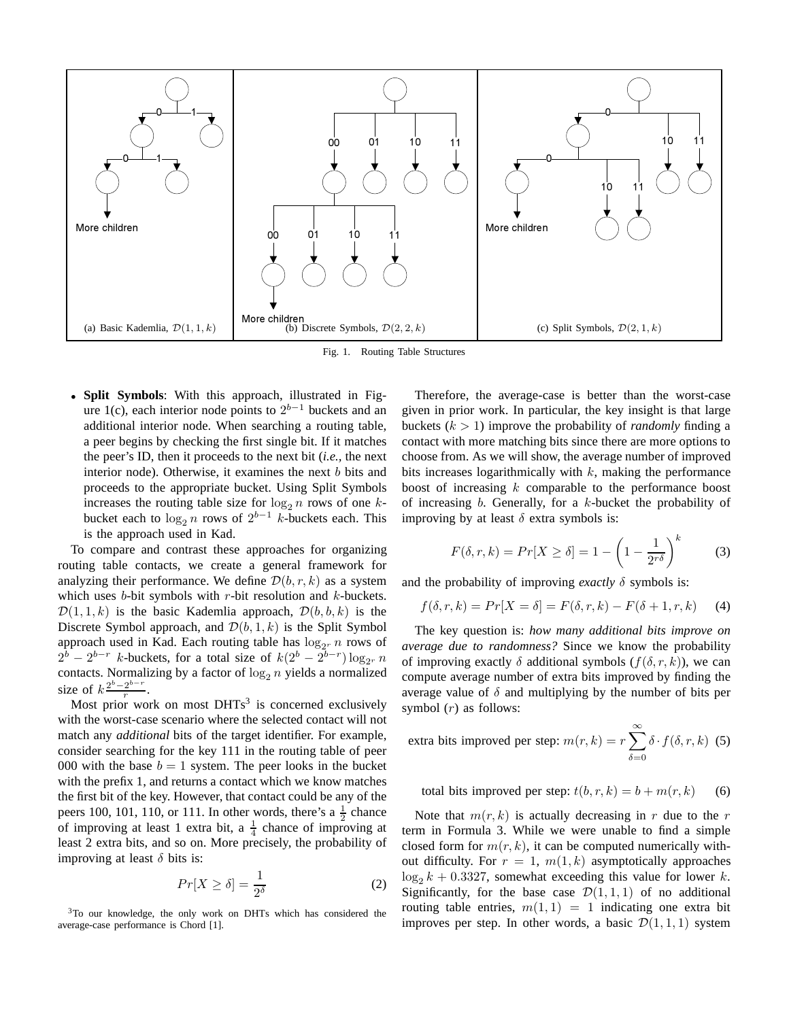

Fig. 1. Routing Table Structures

• **Split Symbols**: With this approach, illustrated in Figure 1(c), each interior node points to  $2^{b-1}$  buckets and an additional interior node. When searching a routing table, a peer begins by checking the first single bit. If it matches the peer's ID, then it proceeds to the next bit (*i.e.,* the next interior node). Otherwise, it examines the next  $b$  bits and proceeds to the appropriate bucket. Using Split Symbols increases the routing table size for  $\log_2 n$  rows of one kbucket each to  $\log_2 n$  rows of  $2^{b-1}$  k-buckets each. This is the approach used in Kad.

To compare and contrast these approaches for organizing routing table contacts, we create a general framework for analyzing their performance. We define  $\mathcal{D}(b, r, k)$  as a system which uses  $b$ -bit symbols with  $r$ -bit resolution and  $k$ -buckets.  $\mathcal{D}(1, 1, k)$  is the basic Kademlia approach,  $\mathcal{D}(b, b, k)$  is the Discrete Symbol approach, and  $\mathcal{D}(b, 1, k)$  is the Split Symbol approach used in Kad. Each routing table has  $\log_{2r} n$  rows of  $2^{b} - 2^{b-r}$  k-buckets, for a total size of  $k(2^{b} - 2^{b-r}) \log_{2^{r}} n$ contacts. Normalizing by a factor of  $\log_2 n$  yields a normalized size of  $k\frac{2^b-2^{b-r}}{r}$ r .

Most prior work on most DHTs<sup>3</sup> is concerned exclusively with the worst-case scenario where the selected contact will not match any *additional* bits of the target identifier. For example, consider searching for the key 111 in the routing table of peer 000 with the base  $b = 1$  system. The peer looks in the bucket with the prefix 1, and returns a contact which we know matches the first bit of the key. However, that contact could be any of the peers 100, 101, 110, or 111. In other words, there's a  $\frac{1}{2}$  chance of improving at least 1 extra bit, a  $\frac{1}{4}$  chance of improving at least 2 extra bits, and so on. More precisely, the probability of improving at least  $\delta$  bits is:

$$
Pr[X \ge \delta] = \frac{1}{2^{\delta}} \tag{2}
$$

<sup>3</sup>To our knowledge, the only work on DHTs which has considered the average-case performance is Chord [1].

Therefore, the average-case is better than the worst-case given in prior work. In particular, the key insight is that large buckets  $(k > 1)$  improve the probability of *randomly* finding a contact with more matching bits since there are more options to choose from. As we will show, the average number of improved bits increases logarithmically with  $k$ , making the performance boost of increasing  $k$  comparable to the performance boost of increasing b. Generally, for a k-bucket the probability of improving by at least  $\delta$  extra symbols is:

$$
F(\delta, r, k) = Pr[X \ge \delta] = 1 - \left(1 - \frac{1}{2^{r\delta}}\right)^k \tag{3}
$$

and the probability of improving *exactly*  $\delta$  symbols is:

$$
f(\delta, r, k) = Pr[X = \delta] = F(\delta, r, k) - F(\delta + 1, r, k)
$$
 (4)

The key question is: *how many additional bits improve on average due to randomness?* Since we know the probability of improving exactly  $\delta$  additional symbols  $(f(\delta, r, k))$ , we can compute average number of extra bits improved by finding the average value of  $\delta$  and multiplying by the number of bits per symbol  $(r)$  as follows:

extra bits improved per step: 
$$
m(r, k) = r \sum_{\delta=0}^{\infty} \delta \cdot f(\delta, r, k)
$$
 (5)

total bits improved per step: 
$$
t(b, r, k) = b + m(r, k)
$$
 (6)

Note that  $m(r, k)$  is actually decreasing in r due to the r term in Formula 3. While we were unable to find a simple closed form for  $m(r, k)$ , it can be computed numerically without difficulty. For  $r = 1$ ,  $m(1, k)$  asymptotically approaches  $\log_2 k + 0.3327$ , somewhat exceeding this value for lower k. Significantly, for the base case  $\mathcal{D}(1,1,1)$  of no additional routing table entries,  $m(1, 1) = 1$  indicating one extra bit improves per step. In other words, a basic  $\mathcal{D}(1, 1, 1)$  system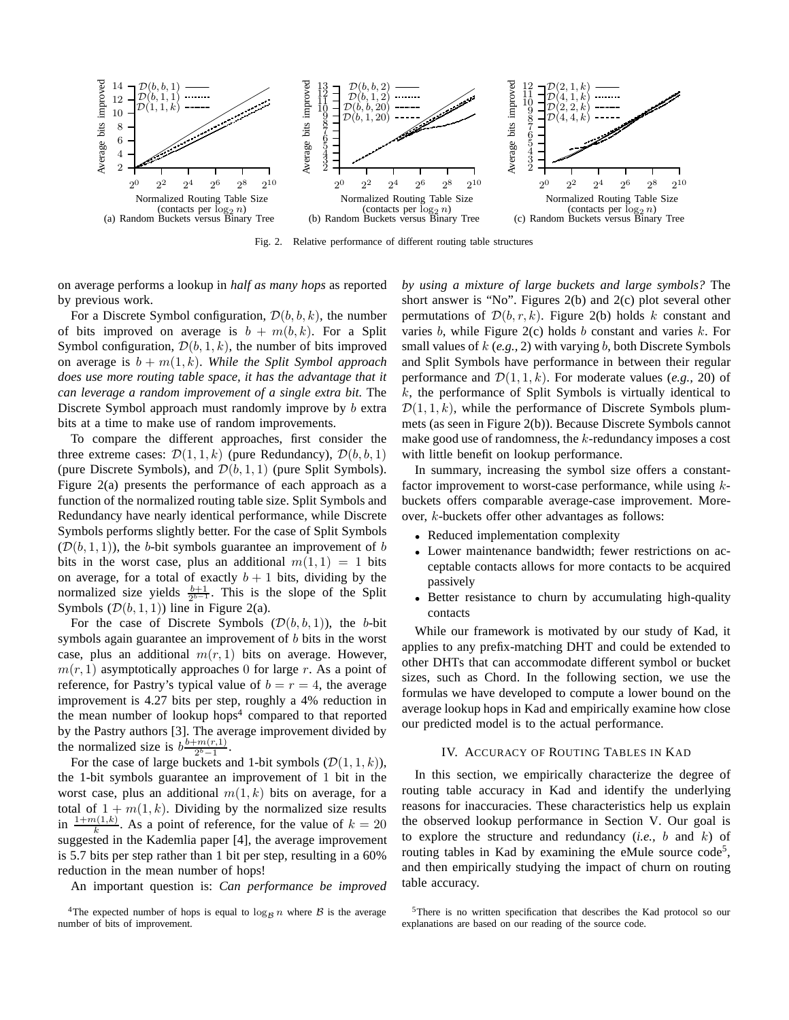

Fig. 2. Relative performance of different routing table structures

on average performs a lookup in *half as many hops* as reported by previous work.

For a Discrete Symbol configuration,  $\mathcal{D}(b, b, k)$ , the number of bits improved on average is  $b + m(b, k)$ . For a Split Symbol configuration,  $\mathcal{D}(b, 1, k)$ , the number of bits improved on average is  $b + m(1, k)$ . *While the Split Symbol approach does use more routing table space, it has the advantage that it can leverage a random improvement of a single extra bit.* The Discrete Symbol approach must randomly improve by b extra bits at a time to make use of random improvements.

To compare the different approaches, first consider the three extreme cases:  $\mathcal{D}(1,1,k)$  (pure Redundancy),  $\mathcal{D}(b, b, 1)$ (pure Discrete Symbols), and  $\mathcal{D}(b, 1, 1)$  (pure Split Symbols). Figure 2(a) presents the performance of each approach as a function of the normalized routing table size. Split Symbols and Redundancy have nearly identical performance, while Discrete Symbols performs slightly better. For the case of Split Symbols  $(\mathcal{D}(b, 1, 1))$ , the b-bit symbols guarantee an improvement of b bits in the worst case, plus an additional  $m(1, 1) = 1$  bits on average, for a total of exactly  $b + 1$  bits, dividing by the normalized size yields  $\frac{b+1}{2^{b-1}}$ . This is the slope of the Split Symbols  $(\mathcal{D}(b, 1, 1))$  line in Figure 2(a).

For the case of Discrete Symbols  $(D(b, b, 1))$ , the b-bit symbols again guarantee an improvement of b bits in the worst case, plus an additional  $m(r, 1)$  bits on average. However,  $m(r, 1)$  asymptotically approaches 0 for large r. As a point of reference, for Pastry's typical value of  $b = r = 4$ , the average improvement is 4.27 bits per step, roughly a 4% reduction in the mean number of lookup hops<sup>4</sup> compared to that reported by the Pastry authors [3]. The average improvement divided by the normalized size is  $b \frac{b+m(r,1)}{2^b-1}$ .

For the case of large buckets and 1-bit symbols  $(\mathcal{D}(1, 1, k))$ , the 1-bit symbols guarantee an improvement of 1 bit in the worst case, plus an additional  $m(1, k)$  bits on average, for a total of  $1 + m(1, k)$ . Dividing by the normalized size results in  $\frac{1+m(1,k)}{k}$ . As a point of reference, for the value of  $k = 20$ suggested in the Kademlia paper [4], the average improvement is 5.7 bits per step rather than 1 bit per step, resulting in a 60% reduction in the mean number of hops!

An important question is: *Can performance be improved*

*by using a mixture of large buckets and large symbols?* The short answer is "No". Figures 2(b) and 2(c) plot several other permutations of  $\mathcal{D}(b, r, k)$ . Figure 2(b) holds k constant and varies  $b$ , while Figure 2(c) holds  $b$  constant and varies  $k$ . For small values of  $k$  (*e.g.,* 2) with varying  $b$ , both Discrete Symbols and Split Symbols have performance in between their regular performance and  $\mathcal{D}(1,1,k)$ . For moderate values (*e.g.*, 20) of  $k$ , the performance of Split Symbols is virtually identical to  $\mathcal{D}(1, 1, k)$ , while the performance of Discrete Symbols plummets (as seen in Figure 2(b)). Because Discrete Symbols cannot make good use of randomness, the  $k$ -redundancy imposes a cost with little benefit on lookup performance.

In summary, increasing the symbol size offers a constantfactor improvement to worst-case performance, while using kbuckets offers comparable average-case improvement. Moreover, k-buckets offer other advantages as follows:

- Reduced implementation complexity
- Lower maintenance bandwidth; fewer restrictions on acceptable contacts allows for more contacts to be acquired passively
- Better resistance to churn by accumulating high-quality contacts

While our framework is motivated by our study of Kad, it applies to any prefix-matching DHT and could be extended to other DHTs that can accommodate different symbol or bucket sizes, such as Chord. In the following section, we use the formulas we have developed to compute a lower bound on the average lookup hops in Kad and empirically examine how close our predicted model is to the actual performance.

## IV. ACCURACY OF ROUTING TABLES IN KAD

In this section, we empirically characterize the degree of routing table accuracy in Kad and identify the underlying reasons for inaccuracies. These characteristics help us explain the observed lookup performance in Section V. Our goal is to explore the structure and redundancy (*i.e.,* b and k) of routing tables in Kad by examining the eMule source code<sup>5</sup>, and then empirically studying the impact of churn on routing table accuracy.

<sup>&</sup>lt;sup>4</sup>The expected number of hops is equal to  $\log_B n$  where B is the average number of bits of improvement.

<sup>5</sup>There is no written specification that describes the Kad protocol so our explanations are based on our reading of the source code.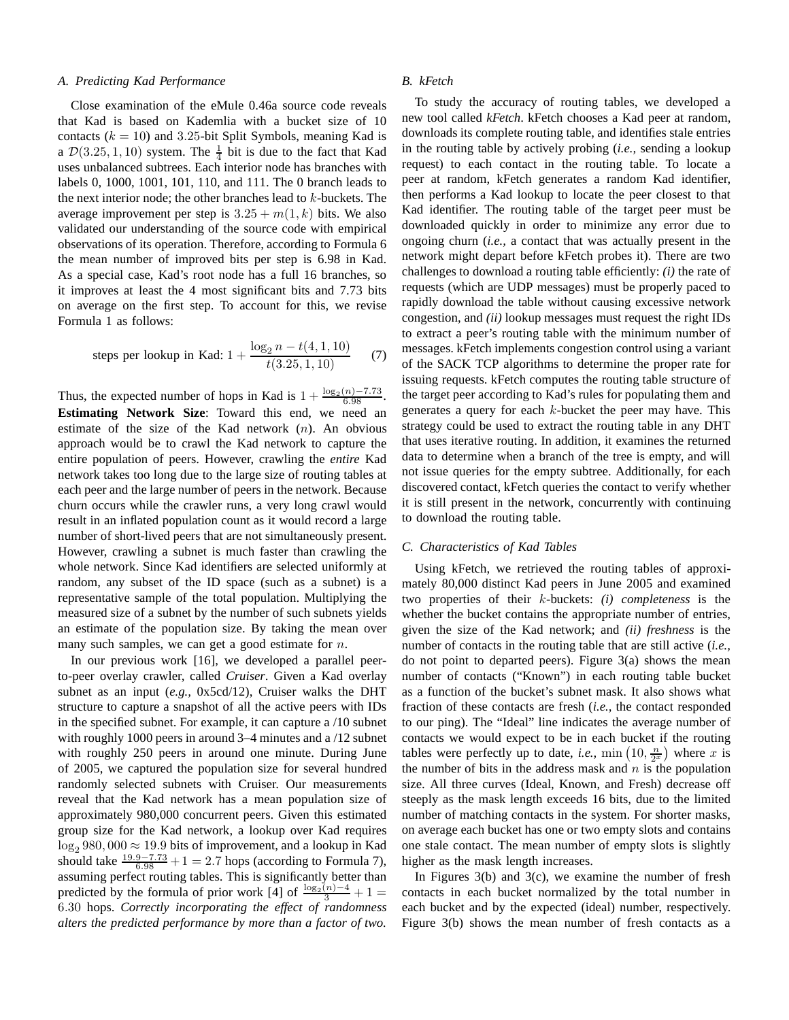#### *A. Predicting Kad Performance*

Close examination of the eMule 0.46a source code reveals that Kad is based on Kademlia with a bucket size of 10 contacts  $(k = 10)$  and 3.25-bit Split Symbols, meaning Kad is a  $\mathcal{D}(3.25, 1, 10)$  system. The  $\frac{1}{4}$  bit is due to the fact that Kad uses unbalanced subtrees. Each interior node has branches with labels 0, 1000, 1001, 101, 110, and 111. The 0 branch leads to the next interior node; the other branches lead to  $k$ -buckets. The average improvement per step is  $3.25 + m(1, k)$  bits. We also validated our understanding of the source code with empirical observations of its operation. Therefore, according to Formula 6 the mean number of improved bits per step is 6.98 in Kad. As a special case, Kad's root node has a full 16 branches, so it improves at least the 4 most significant bits and 7.73 bits on average on the first step. To account for this, we revise Formula 1 as follows:

steps per lookup in Kad: 
$$
1 + \frac{\log_2 n - t(4, 1, 10)}{t(3.25, 1, 10)}
$$
 (7)

Thus, the expected number of hops in Kad is  $1 + \frac{\log_2(n) - 7.73}{6.98}$  $\frac{(n)-1.13}{6.98}$ . **Estimating Network Size**: Toward this end, we need an estimate of the size of the Kad network  $(n)$ . An obvious approach would be to crawl the Kad network to capture the entire population of peers. However, crawling the *entire* Kad network takes too long due to the large size of routing tables at each peer and the large number of peers in the network. Because churn occurs while the crawler runs, a very long crawl would result in an inflated population count as it would record a large number of short-lived peers that are not simultaneously present. However, crawling a subnet is much faster than crawling the whole network. Since Kad identifiers are selected uniformly at random, any subset of the ID space (such as a subnet) is a representative sample of the total population. Multiplying the measured size of a subnet by the number of such subnets yields an estimate of the population size. By taking the mean over many such samples, we can get a good estimate for  $n$ .

In our previous work [16], we developed a parallel peerto-peer overlay crawler, called *Cruiser*. Given a Kad overlay subnet as an input (*e.g.,* 0x5cd/12), Cruiser walks the DHT structure to capture a snapshot of all the active peers with IDs in the specified subnet. For example, it can capture a /10 subnet with roughly 1000 peers in around 3–4 minutes and a /12 subnet with roughly 250 peers in around one minute. During June of 2005, we captured the population size for several hundred randomly selected subnets with Cruiser. Our measurements reveal that the Kad network has a mean population size of approximately 980,000 concurrent peers. Given this estimated group size for the Kad network, a lookup over Kad requires  $\log_2 980,000 \approx 19.9$  bits of improvement, and a lookup in Kad should take  $\frac{19.9 - 7.73}{6.98} + 1 = 2.7$  hops (according to Formula 7), assuming perfect routing tables. This is significantly better than predicted by the formula of prior work [4] of  $\frac{\log_2(n)-4}{3}+1=$ 6.30 hops. *Correctly incorporating the effect of randomness alters the predicted performance by more than a factor of two.*

#### *B. kFetch*

To study the accuracy of routing tables, we developed a new tool called *kFetch*. kFetch chooses a Kad peer at random, downloads its complete routing table, and identifies stale entries in the routing table by actively probing (*i.e.,* sending a lookup request) to each contact in the routing table. To locate a peer at random, kFetch generates a random Kad identifier, then performs a Kad lookup to locate the peer closest to that Kad identifier. The routing table of the target peer must be downloaded quickly in order to minimize any error due to ongoing churn (*i.e.,* a contact that was actually present in the network might depart before kFetch probes it). There are two challenges to download a routing table efficiently: *(i)* the rate of requests (which are UDP messages) must be properly paced to rapidly download the table without causing excessive network congestion, and *(ii)* lookup messages must request the right IDs to extract a peer's routing table with the minimum number of messages. kFetch implements congestion control using a variant of the SACK TCP algorithms to determine the proper rate for issuing requests. kFetch computes the routing table structure of the target peer according to Kad's rules for populating them and generates a query for each k-bucket the peer may have. This strategy could be used to extract the routing table in any DHT that uses iterative routing. In addition, it examines the returned data to determine when a branch of the tree is empty, and will not issue queries for the empty subtree. Additionally, for each discovered contact, kFetch queries the contact to verify whether it is still present in the network, concurrently with continuing to download the routing table.

# *C. Characteristics of Kad Tables*

Using kFetch, we retrieved the routing tables of approximately 80,000 distinct Kad peers in June 2005 and examined two properties of their k-buckets: *(i) completeness* is the whether the bucket contains the appropriate number of entries, given the size of the Kad network; and *(ii) freshness* is the number of contacts in the routing table that are still active (*i.e.,* do not point to departed peers). Figure  $3(a)$  shows the mean number of contacts ("Known") in each routing table bucket as a function of the bucket's subnet mask. It also shows what fraction of these contacts are fresh (*i.e.,* the contact responded to our ping). The "Ideal" line indicates the average number of contacts we would expect to be in each bucket if the routing tables were perfectly up to date, *i.e.*,  $\min\left(10, \frac{n}{2^x}\right)$  where x is the number of bits in the address mask and  $n$  is the population size. All three curves (Ideal, Known, and Fresh) decrease off steeply as the mask length exceeds 16 bits, due to the limited number of matching contacts in the system. For shorter masks, on average each bucket has one or two empty slots and contains one stale contact. The mean number of empty slots is slightly higher as the mask length increases.

In Figures  $3(b)$  and  $3(c)$ , we examine the number of fresh contacts in each bucket normalized by the total number in each bucket and by the expected (ideal) number, respectively. Figure 3(b) shows the mean number of fresh contacts as a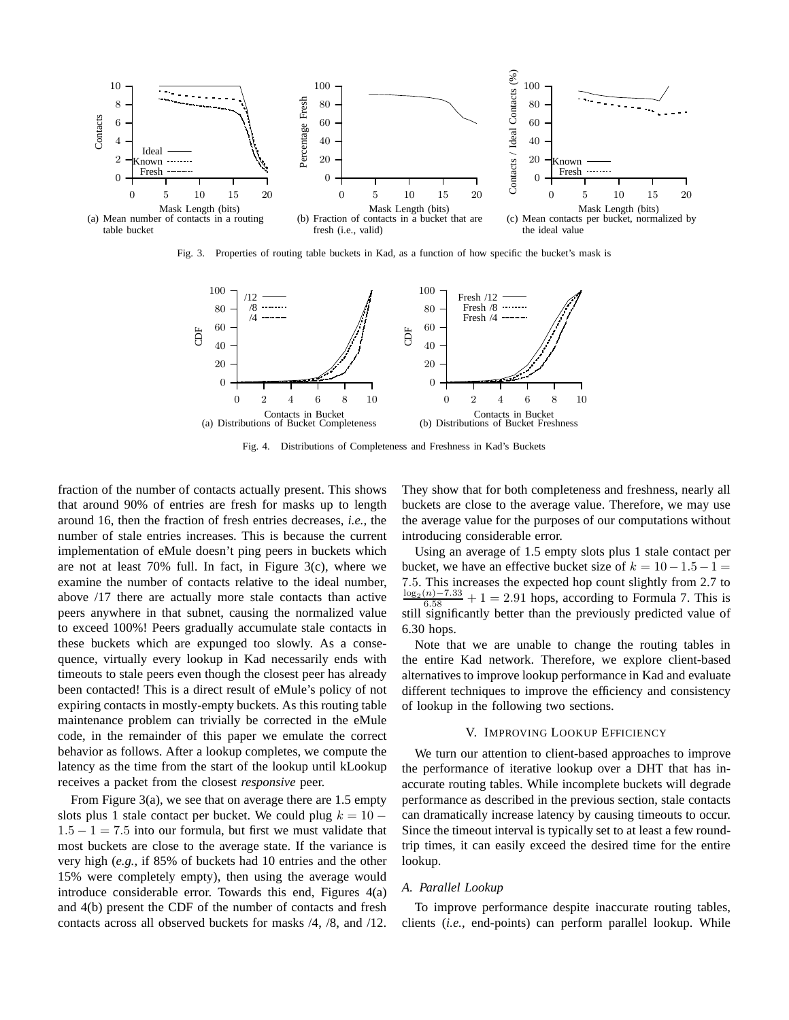

Fig. 3. Properties of routing table buckets in Kad, as a function of how specific the bucket's mask is



Fig. 4. Distributions of Completeness and Freshness in Kad's Buckets

fraction of the number of contacts actually present. This shows that around 90% of entries are fresh for masks up to length around 16, then the fraction of fresh entries decreases, *i.e.,* the number of stale entries increases. This is because the current implementation of eMule doesn't ping peers in buckets which are not at least  $70\%$  full. In fact, in Figure  $3(c)$ , where we examine the number of contacts relative to the ideal number, above /17 there are actually more stale contacts than active peers anywhere in that subnet, causing the normalized value to exceed 100%! Peers gradually accumulate stale contacts in these buckets which are expunged too slowly. As a consequence, virtually every lookup in Kad necessarily ends with timeouts to stale peers even though the closest peer has already been contacted! This is a direct result of eMule's policy of not expiring contacts in mostly-empty buckets. As this routing table maintenance problem can trivially be corrected in the eMule code, in the remainder of this paper we emulate the correct behavior as follows. After a lookup completes, we compute the latency as the time from the start of the lookup until kLookup receives a packet from the closest *responsive* peer.

From Figure 3(a), we see that on average there are 1.5 empty slots plus 1 stale contact per bucket. We could plug  $k = 10 1.5 - 1 = 7.5$  into our formula, but first we must validate that most buckets are close to the average state. If the variance is very high (*e.g.,* if 85% of buckets had 10 entries and the other 15% were completely empty), then using the average would introduce considerable error. Towards this end, Figures 4(a) and 4(b) present the CDF of the number of contacts and fresh contacts across all observed buckets for masks /4, /8, and /12.

They show that for both completeness and freshness, nearly all buckets are close to the average value. Therefore, we may use the average value for the purposes of our computations without introducing considerable error.

Using an average of 1.5 empty slots plus 1 stale contact per bucket, we have an effective bucket size of  $k = 10 - 1.5 - 1 =$ 7.5. This increases the expected hop count slightly from 2.7 to  $\frac{\log_2(n)-7.33}{6.58}+1=2.91$  hops, according to Formula 7. This is still significantly better than the previously predicted value of 6.30 hops.

Note that we are unable to change the routing tables in the entire Kad network. Therefore, we explore client-based alternatives to improve lookup performance in Kad and evaluate different techniques to improve the efficiency and consistency of lookup in the following two sections.

#### V. IMPROVING LOOKUP EFFICIENCY

We turn our attention to client-based approaches to improve the performance of iterative lookup over a DHT that has inaccurate routing tables. While incomplete buckets will degrade performance as described in the previous section, stale contacts can dramatically increase latency by causing timeouts to occur. Since the timeout interval is typically set to at least a few roundtrip times, it can easily exceed the desired time for the entire lookup.

# *A. Parallel Lookup*

To improve performance despite inaccurate routing tables, clients (*i.e.,* end-points) can perform parallel lookup. While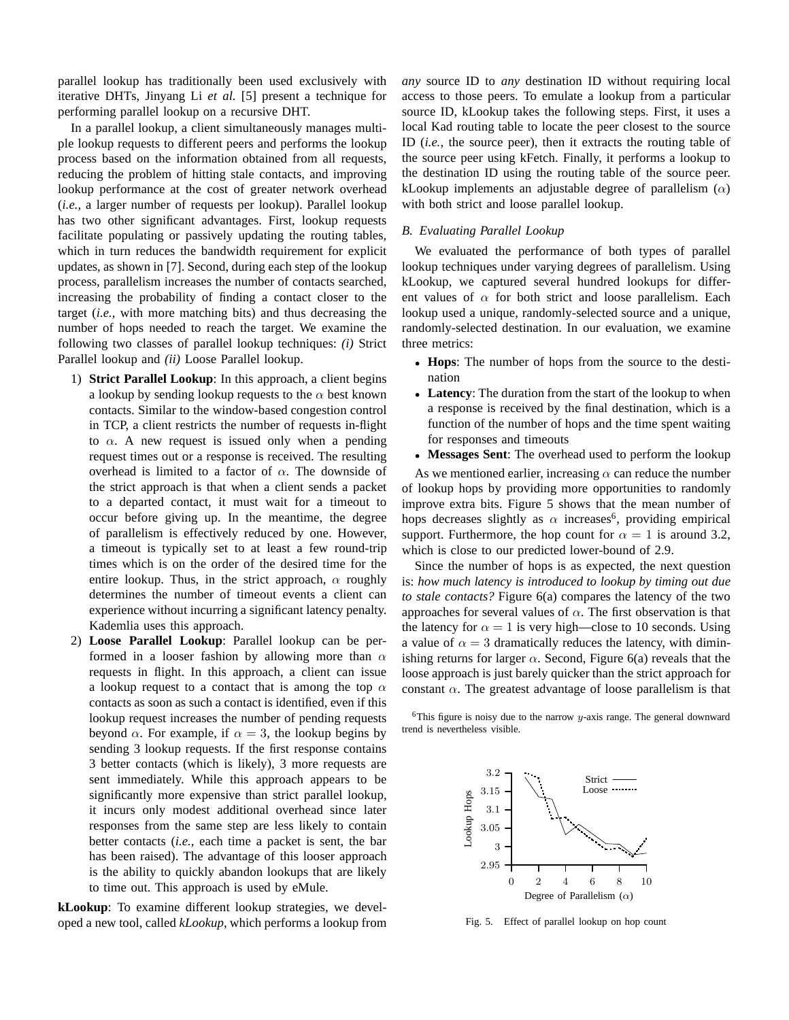parallel lookup has traditionally been used exclusively with iterative DHTs, Jinyang Li *et al.* [5] present a technique for performing parallel lookup on a recursive DHT.

In a parallel lookup, a client simultaneously manages multiple lookup requests to different peers and performs the lookup process based on the information obtained from all requests, reducing the problem of hitting stale contacts, and improving lookup performance at the cost of greater network overhead (*i.e.,* a larger number of requests per lookup). Parallel lookup has two other significant advantages. First, lookup requests facilitate populating or passively updating the routing tables, which in turn reduces the bandwidth requirement for explicit updates, as shown in [7]. Second, during each step of the lookup process, parallelism increases the number of contacts searched, increasing the probability of finding a contact closer to the target (*i.e.,* with more matching bits) and thus decreasing the number of hops needed to reach the target. We examine the following two classes of parallel lookup techniques: *(i)* Strict Parallel lookup and *(ii)* Loose Parallel lookup.

- 1) **Strict Parallel Lookup**: In this approach, a client begins a lookup by sending lookup requests to the  $\alpha$  best known contacts. Similar to the window-based congestion control in TCP, a client restricts the number of requests in-flight to  $\alpha$ . A new request is issued only when a pending request times out or a response is received. The resulting overhead is limited to a factor of  $\alpha$ . The downside of the strict approach is that when a client sends a packet to a departed contact, it must wait for a timeout to occur before giving up. In the meantime, the degree of parallelism is effectively reduced by one. However, a timeout is typically set to at least a few round-trip times which is on the order of the desired time for the entire lookup. Thus, in the strict approach,  $\alpha$  roughly determines the number of timeout events a client can experience without incurring a significant latency penalty. Kademlia uses this approach.
- 2) **Loose Parallel Lookup**: Parallel lookup can be performed in a looser fashion by allowing more than  $\alpha$ requests in flight. In this approach, a client can issue a lookup request to a contact that is among the top  $\alpha$ contacts as soon as such a contact is identified, even if this lookup request increases the number of pending requests beyond  $\alpha$ . For example, if  $\alpha = 3$ , the lookup begins by sending 3 lookup requests. If the first response contains 3 better contacts (which is likely), 3 more requests are sent immediately. While this approach appears to be significantly more expensive than strict parallel lookup, it incurs only modest additional overhead since later responses from the same step are less likely to contain better contacts (*i.e.,* each time a packet is sent, the bar has been raised). The advantage of this looser approach is the ability to quickly abandon lookups that are likely to time out. This approach is used by eMule.

**kLookup**: To examine different lookup strategies, we developed a new tool, called *kLookup*, which performs a lookup from *any* source ID to *any* destination ID without requiring local access to those peers. To emulate a lookup from a particular source ID, kLookup takes the following steps. First, it uses a local Kad routing table to locate the peer closest to the source ID (*i.e.,* the source peer), then it extracts the routing table of the source peer using kFetch. Finally, it performs a lookup to the destination ID using the routing table of the source peer. kLookup implements an adjustable degree of parallelism  $(\alpha)$ with both strict and loose parallel lookup.

### *B. Evaluating Parallel Lookup*

We evaluated the performance of both types of parallel lookup techniques under varying degrees of parallelism. Using kLookup, we captured several hundred lookups for different values of  $\alpha$  for both strict and loose parallelism. Each lookup used a unique, randomly-selected source and a unique, randomly-selected destination. In our evaluation, we examine three metrics:

- **Hops**: The number of hops from the source to the destination
- **Latency**: The duration from the start of the lookup to when a response is received by the final destination, which is a function of the number of hops and the time spent waiting for responses and timeouts
- **Messages Sent**: The overhead used to perform the lookup

As we mentioned earlier, increasing  $\alpha$  can reduce the number of lookup hops by providing more opportunities to randomly improve extra bits. Figure 5 shows that the mean number of hops decreases slightly as  $\alpha$  increases<sup>6</sup>, providing empirical support. Furthermore, the hop count for  $\alpha = 1$  is around 3.2, which is close to our predicted lower-bound of 2.9.

Since the number of hops is as expected, the next question is: *how much latency is introduced to lookup by timing out due to stale contacts?* Figure 6(a) compares the latency of the two approaches for several values of  $\alpha$ . The first observation is that the latency for  $\alpha = 1$  is very high—close to 10 seconds. Using a value of  $\alpha = 3$  dramatically reduces the latency, with diminishing returns for larger  $\alpha$ . Second, Figure 6(a) reveals that the loose approach is just barely quicker than the strict approach for constant  $\alpha$ . The greatest advantage of loose parallelism is that

<sup>6</sup>This figure is noisy due to the narrow  $y$ -axis range. The general downward trend is nevertheless visible.



Fig. 5. Effect of parallel lookup on hop count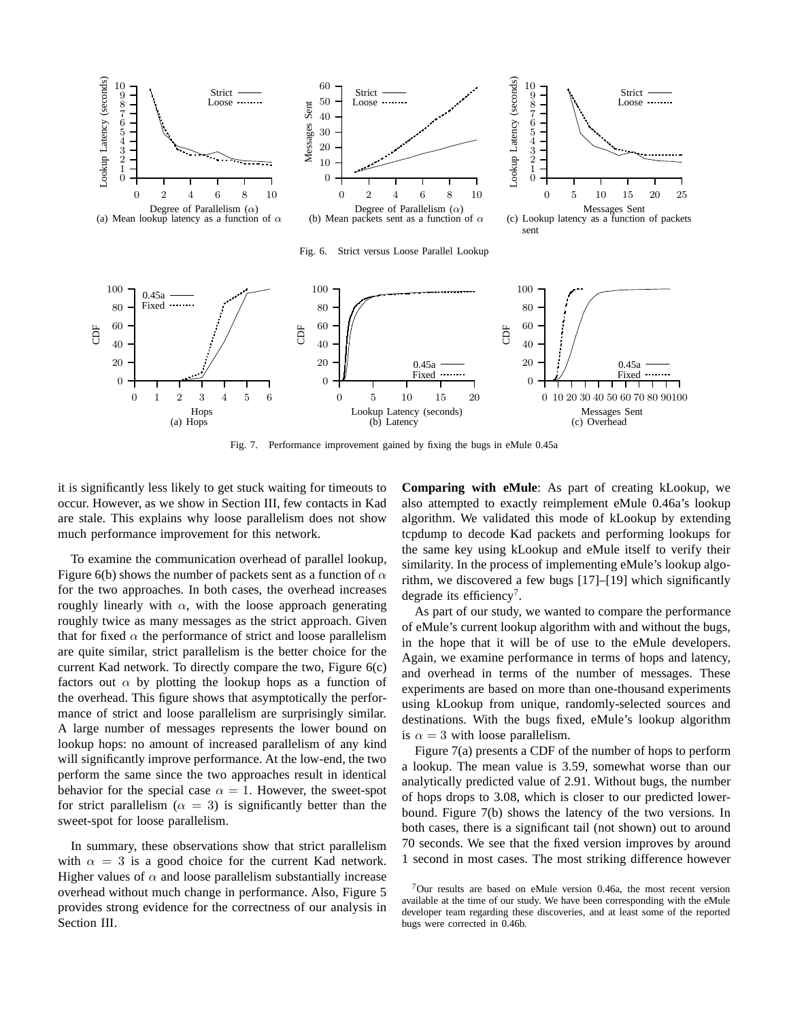

(b) Latency Fig. 7. Performance improvement gained by fixing the bugs in eMule 0.45a

it is significantly less likely to get stuck waiting for timeouts to occur. However, as we show in Section III, few contacts in Kad are stale. This explains why loose parallelism does not show much performance improvement for this network.

(a) Hops

To examine the communication overhead of parallel lookup, Figure 6(b) shows the number of packets sent as a function of  $\alpha$ for the two approaches. In both cases, the overhead increases roughly linearly with  $\alpha$ , with the loose approach generating roughly twice as many messages as the strict approach. Given that for fixed  $\alpha$  the performance of strict and loose parallelism are quite similar, strict parallelism is the better choice for the current Kad network. To directly compare the two, Figure 6(c) factors out  $\alpha$  by plotting the lookup hops as a function of the overhead. This figure shows that asymptotically the performance of strict and loose parallelism are surprisingly similar. A large number of messages represents the lower bound on lookup hops: no amount of increased parallelism of any kind will significantly improve performance. At the low-end, the two perform the same since the two approaches result in identical behavior for the special case  $\alpha = 1$ . However, the sweet-spot for strict parallelism ( $\alpha = 3$ ) is significantly better than the sweet-spot for loose parallelism.

In summary, these observations show that strict parallelism with  $\alpha = 3$  is a good choice for the current Kad network. Higher values of  $\alpha$  and loose parallelism substantially increase overhead without much change in performance. Also, Figure 5 provides strong evidence for the correctness of our analysis in Section III.

**Comparing with eMule**: As part of creating kLookup, we also attempted to exactly reimplement eMule 0.46a's lookup algorithm. We validated this mode of kLookup by extending tcpdump to decode Kad packets and performing lookups for the same key using kLookup and eMule itself to verify their similarity. In the process of implementing eMule's lookup algorithm, we discovered a few bugs [17]–[19] which significantly degrade its efficiency<sup>7</sup>.

(c) Overhead

As part of our study, we wanted to compare the performance of eMule's current lookup algorithm with and without the bugs, in the hope that it will be of use to the eMule developers. Again, we examine performance in terms of hops and latency, and overhead in terms of the number of messages. These experiments are based on more than one-thousand experiments using kLookup from unique, randomly-selected sources and destinations. With the bugs fixed, eMule's lookup algorithm is  $\alpha = 3$  with loose parallelism.

Figure 7(a) presents a CDF of the number of hops to perform a lookup. The mean value is 3.59, somewhat worse than our analytically predicted value of 2.91. Without bugs, the number of hops drops to 3.08, which is closer to our predicted lowerbound. Figure 7(b) shows the latency of the two versions. In both cases, there is a significant tail (not shown) out to around 70 seconds. We see that the fixed version improves by around 1 second in most cases. The most striking difference however

<sup>7</sup>Our results are based on eMule version 0.46a, the most recent version available at the time of our study. We have been corresponding with the eMule developer team regarding these discoveries, and at least some of the reported bugs were corrected in 0.46b.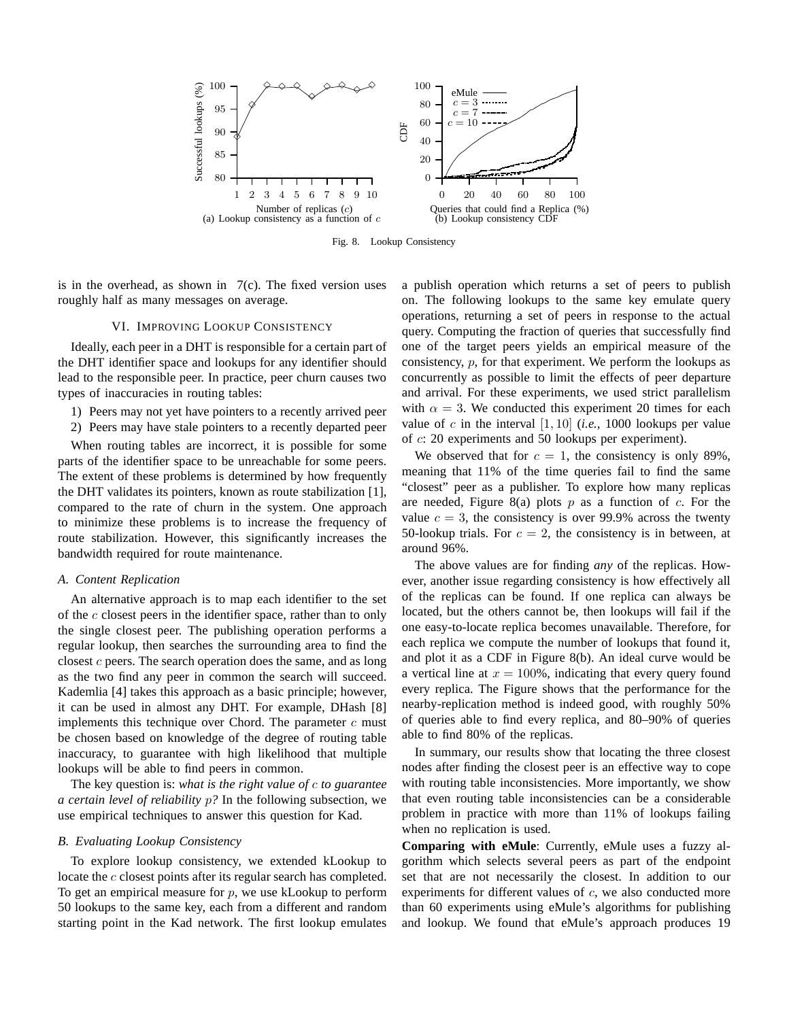

Fig. 8. Lookup Consistency

is in the overhead, as shown in  $7(c)$ . The fixed version uses roughly half as many messages on average.

# VI. IMPROVING LOOKUP CONSISTENCY

Ideally, each peer in a DHT is responsible for a certain part of the DHT identifier space and lookups for any identifier should lead to the responsible peer. In practice, peer churn causes two types of inaccuracies in routing tables:

- 1) Peers may not yet have pointers to a recently arrived peer
- 2) Peers may have stale pointers to a recently departed peer

When routing tables are incorrect, it is possible for some parts of the identifier space to be unreachable for some peers. The extent of these problems is determined by how frequently the DHT validates its pointers, known as route stabilization [1], compared to the rate of churn in the system. One approach to minimize these problems is to increase the frequency of route stabilization. However, this significantly increases the bandwidth required for route maintenance.

# *A. Content Replication*

An alternative approach is to map each identifier to the set of the c closest peers in the identifier space, rather than to only the single closest peer. The publishing operation performs a regular lookup, then searches the surrounding area to find the closest  $c$  peers. The search operation does the same, and as long as the two find any peer in common the search will succeed. Kademlia [4] takes this approach as a basic principle; however, it can be used in almost any DHT. For example, DHash [8] implements this technique over Chord. The parameter  $c$  must be chosen based on knowledge of the degree of routing table inaccuracy, to guarantee with high likelihood that multiple lookups will be able to find peers in common.

The key question is: *what is the right value of* c *to guarantee a certain level of reliability* p*?* In the following subsection, we use empirical techniques to answer this question for Kad.

# *B. Evaluating Lookup Consistency*

To explore lookup consistency, we extended kLookup to locate the c closest points after its regular search has completed. To get an empirical measure for  $p$ , we use kLookup to perform 50 lookups to the same key, each from a different and random starting point in the Kad network. The first lookup emulates a publish operation which returns a set of peers to publish on. The following lookups to the same key emulate query operations, returning a set of peers in response to the actual query. Computing the fraction of queries that successfully find one of the target peers yields an empirical measure of the consistency,  $p$ , for that experiment. We perform the lookups as concurrently as possible to limit the effects of peer departure and arrival. For these experiments, we used strict parallelism with  $\alpha = 3$ . We conducted this experiment 20 times for each value of  $c$  in the interval  $[1, 10]$  (*i.e.*, 1000 lookups per value of c: 20 experiments and 50 lookups per experiment).

We observed that for  $c = 1$ , the consistency is only 89%, meaning that 11% of the time queries fail to find the same "closest" peer as a publisher. To explore how many replicas are needed, Figure 8(a) plots  $p$  as a function of  $c$ . For the value  $c = 3$ , the consistency is over 99.9% across the twenty 50-lookup trials. For  $c = 2$ , the consistency is in between, at around 96%.

The above values are for finding *any* of the replicas. However, another issue regarding consistency is how effectively all of the replicas can be found. If one replica can always be located, but the others cannot be, then lookups will fail if the one easy-to-locate replica becomes unavailable. Therefore, for each replica we compute the number of lookups that found it, and plot it as a CDF in Figure 8(b). An ideal curve would be a vertical line at  $x = 100\%$ , indicating that every query found every replica. The Figure shows that the performance for the nearby-replication method is indeed good, with roughly 50% of queries able to find every replica, and 80–90% of queries able to find 80% of the replicas.

In summary, our results show that locating the three closest nodes after finding the closest peer is an effective way to cope with routing table inconsistencies. More importantly, we show that even routing table inconsistencies can be a considerable problem in practice with more than 11% of lookups failing when no replication is used.

**Comparing with eMule**: Currently, eMule uses a fuzzy algorithm which selects several peers as part of the endpoint set that are not necessarily the closest. In addition to our experiments for different values of  $c$ , we also conducted more than 60 experiments using eMule's algorithms for publishing and lookup. We found that eMule's approach produces 19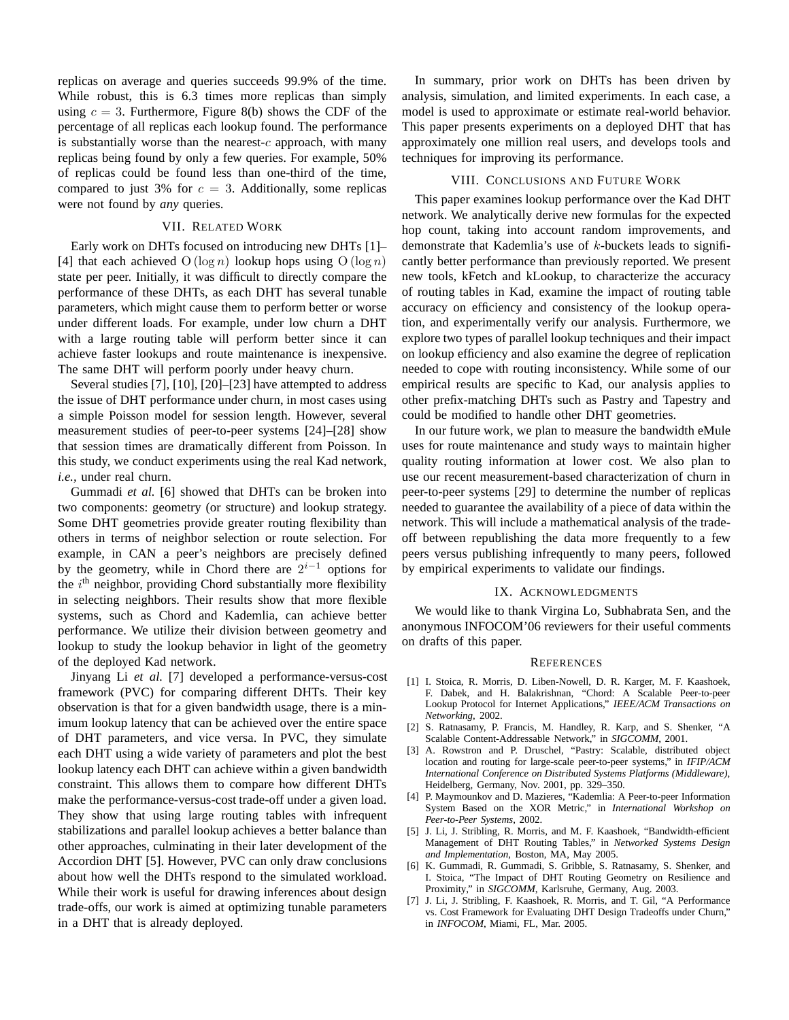replicas on average and queries succeeds 99.9% of the time. While robust, this is 6.3 times more replicas than simply using  $c = 3$ . Furthermore, Figure 8(b) shows the CDF of the percentage of all replicas each lookup found. The performance is substantially worse than the nearest- $c$  approach, with many replicas being found by only a few queries. For example, 50% of replicas could be found less than one-third of the time, compared to just 3% for  $c = 3$ . Additionally, some replicas were not found by *any* queries.

# VII. RELATED WORK

Early work on DHTs focused on introducing new DHTs [1]– [4] that each achieved  $O(\log n)$  lookup hops using  $O(\log n)$ state per peer. Initially, it was difficult to directly compare the performance of these DHTs, as each DHT has several tunable parameters, which might cause them to perform better or worse under different loads. For example, under low churn a DHT with a large routing table will perform better since it can achieve faster lookups and route maintenance is inexpensive. The same DHT will perform poorly under heavy churn.

Several studies [7], [10], [20]–[23] have attempted to address the issue of DHT performance under churn, in most cases using a simple Poisson model for session length. However, several measurement studies of peer-to-peer systems [24]–[28] show that session times are dramatically different from Poisson. In this study, we conduct experiments using the real Kad network, *i.e.,* under real churn.

Gummadi *et al.* [6] showed that DHTs can be broken into two components: geometry (or structure) and lookup strategy. Some DHT geometries provide greater routing flexibility than others in terms of neighbor selection or route selection. For example, in CAN a peer's neighbors are precisely defined by the geometry, while in Chord there are  $2^{i-1}$  options for the  $i<sup>th</sup>$  neighbor, providing Chord substantially more flexibility in selecting neighbors. Their results show that more flexible systems, such as Chord and Kademlia, can achieve better performance. We utilize their division between geometry and lookup to study the lookup behavior in light of the geometry of the deployed Kad network.

Jinyang Li *et al.* [7] developed a performance-versus-cost framework (PVC) for comparing different DHTs. Their key observation is that for a given bandwidth usage, there is a minimum lookup latency that can be achieved over the entire space of DHT parameters, and vice versa. In PVC, they simulate each DHT using a wide variety of parameters and plot the best lookup latency each DHT can achieve within a given bandwidth constraint. This allows them to compare how different DHTs make the performance-versus-cost trade-off under a given load. They show that using large routing tables with infrequent stabilizations and parallel lookup achieves a better balance than other approaches, culminating in their later development of the Accordion DHT [5]. However, PVC can only draw conclusions about how well the DHTs respond to the simulated workload. While their work is useful for drawing inferences about design trade-offs, our work is aimed at optimizing tunable parameters in a DHT that is already deployed.

In summary, prior work on DHTs has been driven by analysis, simulation, and limited experiments. In each case, a model is used to approximate or estimate real-world behavior. This paper presents experiments on a deployed DHT that has approximately one million real users, and develops tools and techniques for improving its performance.

### VIII. CONCLUSIONS AND FUTURE WORK

This paper examines lookup performance over the Kad DHT network. We analytically derive new formulas for the expected hop count, taking into account random improvements, and demonstrate that Kademlia's use of k-buckets leads to significantly better performance than previously reported. We present new tools, kFetch and kLookup, to characterize the accuracy of routing tables in Kad, examine the impact of routing table accuracy on efficiency and consistency of the lookup operation, and experimentally verify our analysis. Furthermore, we explore two types of parallel lookup techniques and their impact on lookup efficiency and also examine the degree of replication needed to cope with routing inconsistency. While some of our empirical results are specific to Kad, our analysis applies to other prefix-matching DHTs such as Pastry and Tapestry and could be modified to handle other DHT geometries.

In our future work, we plan to measure the bandwidth eMule uses for route maintenance and study ways to maintain higher quality routing information at lower cost. We also plan to use our recent measurement-based characterization of churn in peer-to-peer systems [29] to determine the number of replicas needed to guarantee the availability of a piece of data within the network. This will include a mathematical analysis of the tradeoff between republishing the data more frequently to a few peers versus publishing infrequently to many peers, followed by empirical experiments to validate our findings.

#### IX. ACKNOWLEDGMENTS

We would like to thank Virgina Lo, Subhabrata Sen, and the anonymous INFOCOM'06 reviewers for their useful comments on drafts of this paper.

#### **REFERENCES**

- [1] I. Stoica, R. Morris, D. Liben-Nowell, D. R. Karger, M. F. Kaashoek, F. Dabek, and H. Balakrishnan, "Chord: A Scalable Peer-to-peer Lookup Protocol for Internet Applications," *IEEE/ACM Transactions on Networking*, 2002.
- [2] S. Ratnasamy, P. Francis, M. Handley, R. Karp, and S. Shenker, "A Scalable Content-Addressable Network," in *SIGCOMM*, 2001.
- [3] A. Rowstron and P. Druschel, "Pastry: Scalable, distributed object location and routing for large-scale peer-to-peer systems," in *IFIP/ACM International Conference on Distributed Systems Platforms (Middleware)*, Heidelberg, Germany, Nov. 2001, pp. 329–350.
- [4] P. Maymounkov and D. Mazieres, "Kademlia: A Peer-to-peer Information System Based on the XOR Metric," in *International Workshop on Peer-to-Peer Systems*, 2002.
- [5] J. Li, J. Stribling, R. Morris, and M. F. Kaashoek, "Bandwidth-efficient Management of DHT Routing Tables," in *Networked Systems Design and Implementation*, Boston, MA, May 2005.
- [6] K. Gummadi, R. Gummadi, S. Gribble, S. Ratnasamy, S. Shenker, and I. Stoica, "The Impact of DHT Routing Geometry on Resilience and Proximity," in *SIGCOMM*, Karlsruhe, Germany, Aug. 2003.
- [7] J. Li, J. Stribling, F. Kaashoek, R. Morris, and T. Gil, "A Performance vs. Cost Framework for Evaluating DHT Design Tradeoffs under Churn," in *INFOCOM*, Miami, FL, Mar. 2005.